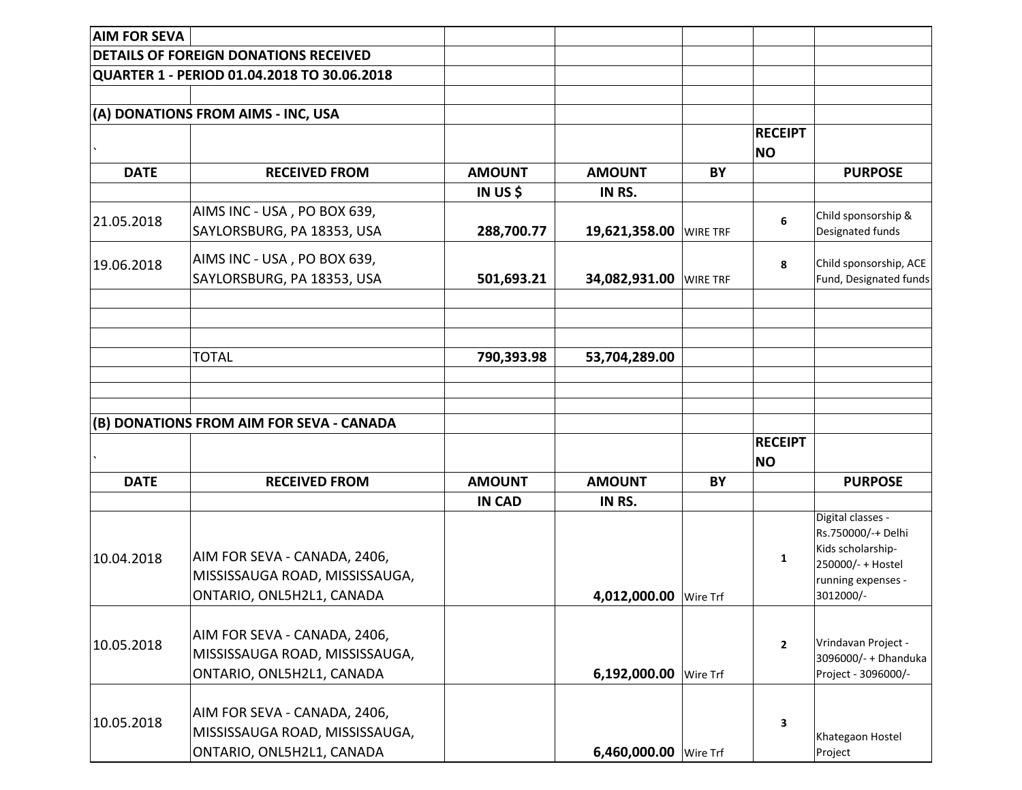| <b>AIM FOR SEVA</b> |                                                                                             |               |                                  |                             |                                                                                                                      |
|---------------------|---------------------------------------------------------------------------------------------|---------------|----------------------------------|-----------------------------|----------------------------------------------------------------------------------------------------------------------|
|                     | <b>DETAILS OF FOREIGN DONATIONS RECEIVED</b>                                                |               |                                  |                             |                                                                                                                      |
|                     | QUARTER 1 - PERIOD 01.04.2018 TO 30.06.2018                                                 |               |                                  |                             |                                                                                                                      |
|                     |                                                                                             |               |                                  |                             |                                                                                                                      |
|                     | (A) DONATIONS FROM AIMS - INC, USA                                                          |               |                                  |                             |                                                                                                                      |
|                     |                                                                                             |               |                                  | <b>RECEIPT</b><br><b>NO</b> |                                                                                                                      |
| <b>DATE</b>         | <b>RECEIVED FROM</b>                                                                        | <b>AMOUNT</b> | <b>AMOUNT</b><br>BY              |                             | <b>PURPOSE</b>                                                                                                       |
|                     |                                                                                             | IN US \$      | IN RS.                           |                             |                                                                                                                      |
| 21.05.2018          | AIMS INC - USA, PO BOX 639,<br>SAYLORSBURG, PA 18353, USA                                   | 288,700.77    | 19,621,358.00<br><b>WIRE TRF</b> | 6                           | Child sponsorship &<br>Designated funds                                                                              |
| 19.06.2018          | AIMS INC - USA, PO BOX 639,<br>SAYLORSBURG, PA 18353, USA                                   | 501,693.21    | 34,082,931.00<br><b>WIRE TRF</b> | 8                           | Child sponsorship, ACE<br>Fund, Designated funds                                                                     |
|                     | <b>TOTAL</b>                                                                                | 790,393.98    | 53,704,289.00                    |                             |                                                                                                                      |
|                     | (B) DONATIONS FROM AIM FOR SEVA - CANADA                                                    |               |                                  | <b>RECEIPT</b>              |                                                                                                                      |
|                     |                                                                                             |               |                                  | <b>NO</b>                   |                                                                                                                      |
| <b>DATE</b>         | <b>RECEIVED FROM</b>                                                                        | <b>AMOUNT</b> | <b>AMOUNT</b><br>BY              |                             | <b>PURPOSE</b>                                                                                                       |
| 10.04.2018          | AIM FOR SEVA - CANADA, 2406,<br>MISSISSAUGA ROAD, MISSISSAUGA,<br>ONTARIO, ONL5H2L1, CANADA | <b>IN CAD</b> | IN RS.<br>4.012.000.00 Wire Trf  | 1                           | Digital classes -<br>Rs.750000/-+ Delhi<br>Kids scholarship-<br>250000/- + Hostel<br>running expenses -<br>3012000/- |
| 10.05.2018          | AIM FOR SEVA - CANADA, 2406,<br>MISSISSAUGA ROAD, MISSISSAUGA,<br>ONTARIO, ONL5H2L1, CANADA |               | 6,192,000.00 Wire Trf            | $\mathbf{2}$                | Vrindavan Project -<br>3096000/- + Dhanduka<br>Project - 3096000/-                                                   |
| 10.05.2018          | AIM FOR SEVA - CANADA, 2406,<br>MISSISSAUGA ROAD, MISSISSAUGA,<br>ONTARIO, ONL5H2L1, CANADA |               | 6,460,000.00 Wire Trf            | 3                           | Khategaon Hostel<br>Project                                                                                          |